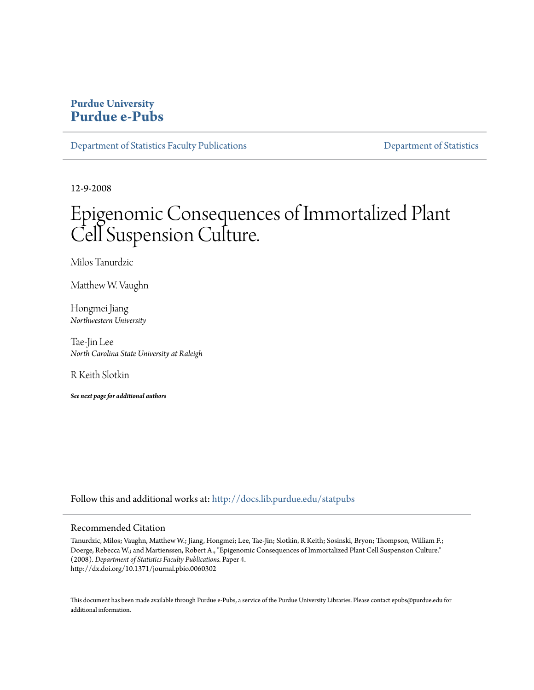# **Purdue University [Purdue e-Pubs](http://docs.lib.purdue.edu?utm_source=docs.lib.purdue.edu%2Fstatpubs%2F4&utm_medium=PDF&utm_campaign=PDFCoverPages)**

[Department of Statistics Faculty Publications](http://docs.lib.purdue.edu/statpubs?utm_source=docs.lib.purdue.edu%2Fstatpubs%2F4&utm_medium=PDF&utm_campaign=PDFCoverPages) [Department of Statistics](http://docs.lib.purdue.edu/stat?utm_source=docs.lib.purdue.edu%2Fstatpubs%2F4&utm_medium=PDF&utm_campaign=PDFCoverPages)

12-9-2008

# Epigenomic Consequences of Immortalized Plant Cell Suspension Culture.

Milos Tanurdzic

Matthew W. Vaughn

Hongmei Jiang *Northwestern University*

Tae-Jin Lee *North Carolina State University at Raleigh*

R Keith Slotkin

*See next page for additional authors*

Follow this and additional works at: [http://docs.lib.purdue.edu/statpubs](http://docs.lib.purdue.edu/statpubs?utm_source=docs.lib.purdue.edu%2Fstatpubs%2F4&utm_medium=PDF&utm_campaign=PDFCoverPages)

# Recommended Citation

Tanurdzic, Milos; Vaughn, Matthew W.; Jiang, Hongmei; Lee, Tae-Jin; Slotkin, R Keith; Sosinski, Bryon; Thompson, William F.; Doerge, Rebecca W.; and Martienssen, Robert A., "Epigenomic Consequences of Immortalized Plant Cell Suspension Culture." (2008). *Department of Statistics Faculty Publications.* Paper 4. http://dx.doi.org/10.1371/journal.pbio.0060302

This document has been made available through Purdue e-Pubs, a service of the Purdue University Libraries. Please contact epubs@purdue.edu for additional information.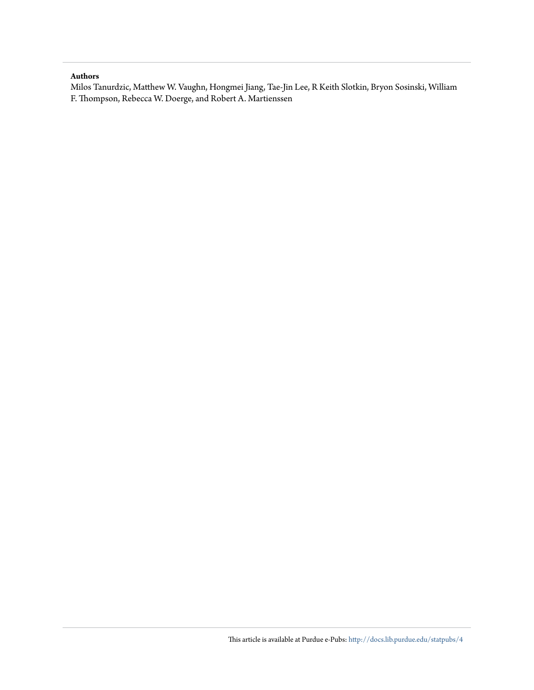# **Authors**

Milos Tanurdzic, Matthew W. Vaughn, Hongmei Jiang, Tae-Jin Lee, R Keith Slotkin, Bryon Sosinski, William F. Thompson, Rebecca W. Doerge, and Robert A. Martienssen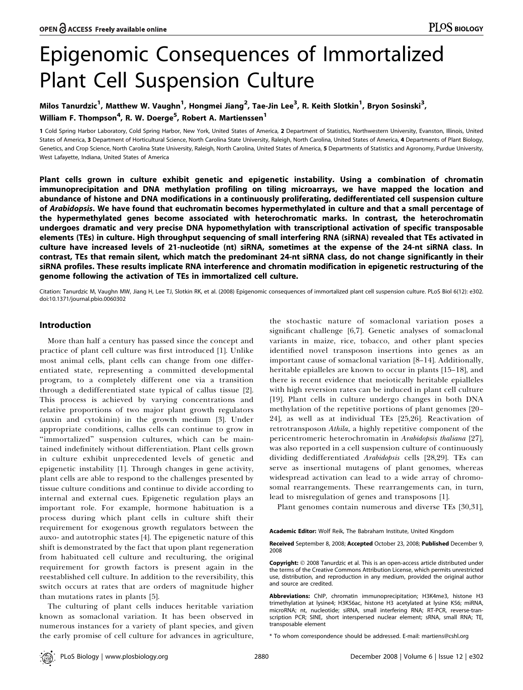# Epigenomic Consequences of Immortalized Plant Cell Suspension Culture

Milos Tanurdzic<sup>1</sup>, Matthew W. Vaughn<sup>1</sup>, Hongmei Jiang<sup>2</sup>, Tae-Jin Lee<sup>3</sup>, R. Keith Slotkin<sup>1</sup>, Bryon Sosinski<sup>3</sup>, William F. Thompson<sup>4</sup>, R. W. Doerge<sup>5</sup>, Robert A. Martienssen<sup>1</sup>

1 Cold Spring Harbor Laboratory, Cold Spring Harbor, New York, United States of America, 2 Department of Statistics, Northwestern University, Evanston, Illinois, United States of America, 3 Department of Horticultural Science, North Carolina State University, Raleigh, North Carolina, United States of America, 4 Departments of Plant Biology, Genetics, and Crop Science, North Carolina State University, Raleigh, North Carolina, United States of America, 5 Departments of Statistics and Agronomy, Purdue University, West Lafayette, Indiana, United States of America

Plant cells grown in culture exhibit genetic and epigenetic instability. Using a combination of chromatin immunoprecipitation and DNA methylation profiling on tiling microarrays, we have mapped the location and abundance of histone and DNA modifications in a continuously proliferating, dedifferentiated cell suspension culture of Arabidopsis. We have found that euchromatin becomes hypermethylated in culture and that a small percentage of the hypermethylated genes become associated with heterochromatic marks. In contrast, the heterochromatin undergoes dramatic and very precise DNA hypomethylation with transcriptional activation of specific transposable elements (TEs) in culture. High throughput sequencing of small interfering RNA (siRNA) revealed that TEs activated in culture have increased levels of 21-nucleotide (nt) siRNA, sometimes at the expense of the 24-nt siRNA class. In contrast, TEs that remain silent, which match the predominant 24-nt siRNA class, do not change significantly in their siRNA profiles. These results implicate RNA interference and chromatin modification in epigenetic restructuring of the genome following the activation of TEs in immortalized cell culture.

Citation: Tanurdzic M, Vaughn MW, Jiang H, Lee TJ, Slotkin RK, et al. (2008) Epigenomic consequences of immortalized plant cell suspension culture. PLoS Biol 6(12): e302. doi:10.1371/journal.pbio.0060302

## Introduction

More than half a century has passed since the concept and practice of plant cell culture was first introduced [1]. Unlike most animal cells, plant cells can change from one differentiated state, representing a committed developmental program, to a completely different one via a transition through a dedifferentiated state typical of callus tissue [2]. This process is achieved by varying concentrations and relative proportions of two major plant growth regulators (auxin and cytokinin) in the growth medium [3]. Under appropriate conditions, callus cells can continue to grow in ''immortalized'' suspension cultures, which can be maintained indefinitely without differentiation. Plant cells grown in culture exhibit unprecedented levels of genetic and epigenetic instability [1]. Through changes in gene activity, plant cells are able to respond to the challenges presented by tissue culture conditions and continue to divide according to internal and external cues. Epigenetic regulation plays an important role. For example, hormone habituation is a process during which plant cells in culture shift their requirement for exogenous growth regulators between the auxo- and autotrophic states [4]. The epigenetic nature of this shift is demonstrated by the fact that upon plant regeneration from habituated cell culture and reculturing, the original requirement for growth factors is present again in the reestablished cell culture. In addition to the reversibility, this switch occurs at rates that are orders of magnitude higher than mutations rates in plants [5].

The culturing of plant cells induces heritable variation known as somaclonal variation. It has been observed in numerous instances for a variety of plant species, and given the early promise of cell culture for advances in agriculture,

the stochastic nature of somaclonal variation poses a significant challenge [6,7]. Genetic analyses of somaclonal variants in maize, rice, tobacco, and other plant species identified novel transposon insertions into genes as an important cause of somaclonal variation [8–14]. Additionally, heritable epialleles are known to occur in plants [15–18], and there is recent evidence that meiotically heritable epialleles with high reversion rates can be induced in plant cell culture [19]. Plant cells in culture undergo changes in both DNA methylation of the repetitive portions of plant genomes [20– 24], as well as at individual TEs [25,26]. Reactivation of retrotransposon Athila, a highly repetitive component of the pericentromeric heterochromatin in Arabidopsis thaliana [27], was also reported in a cell suspension culture of continuously dividing dedifferentiated Arabidopsis cells [28,29]. TEs can serve as insertional mutagens of plant genomes, whereas widespread activation can lead to a wide array of chromosomal rearrangements. These rearrangements can, in turn, lead to misregulation of genes and transposons [1].

Plant genomes contain numerous and diverse TEs [30,31],

Academic Editor: Wolf Reik, The Babraham Institute, United Kingdom

Received September 8, 2008; Accepted October 23, 2008; Published December 9, 2008

**Copyright:** © 2008 Tanurdzic et al. This is an open-access article distributed under the terms of the Creative Commons Attribution License, which permits unrestricted use, distribution, and reproduction in any medium, provided the original author and source are credited.

Abbreviations: ChIP, chromatin immunoprecipitation; H3K4me3, histone H3 trimethylation at lysine4; H3K56ac, histone H3 acetylated at lysine K56; miRNA, microRNA; nt, nucleotide; siRNA, small interfering RNA; RT-PCR, reverse-transcription PCR; SINE, short interspersed nuclear element; sRNA, small RNA; TE, transposable element

\* To whom correspondence should be addressed. E-mail: martiens@cshl.org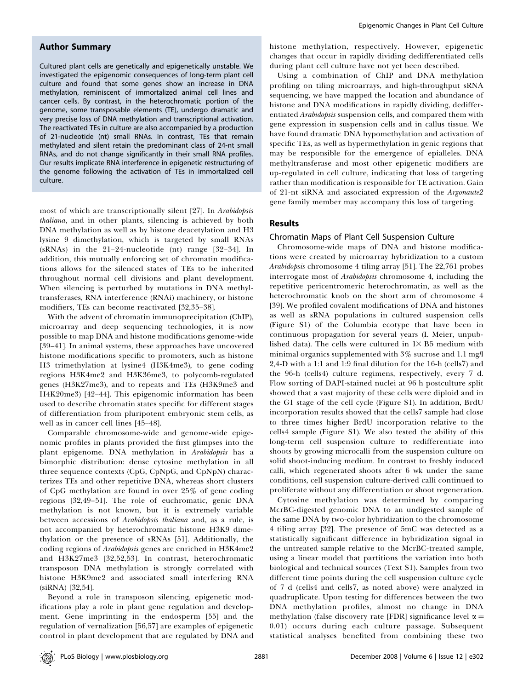# Author Summary

Cultured plant cells are genetically and epigenetically unstable. We investigated the epigenomic consequences of long-term plant cell culture and found that some genes show an increase in DNA methylation, reminiscent of immortalized animal cell lines and cancer cells. By contrast, in the heterochromatic portion of the genome, some transposable elements (TE), undergo dramatic and very precise loss of DNA methylation and transcriptional activation. The reactivated TEs in culture are also accompanied by a production of 21-nucleotide (nt) small RNAs. In contrast, TEs that remain methylated and silent retain the predominant class of 24-nt small RNAs, and do not change significantly in their small RNA profiles. Our results implicate RNA interference in epigenetic restructuring of the genome following the activation of TEs in immortalized cell culture.

most of which are transcriptionally silent [27]. In Arabidopsis thaliana, and in other plants, silencing is achieved by both DNA methylation as well as by histone deacetylation and H3 lysine 9 dimethylation, which is targeted by small RNAs (sRNAs) in the 21–24-nucleotide (nt) range [32–34]. In addition, this mutually enforcing set of chromatin modifications allows for the silenced states of TEs to be inherited throughout normal cell divisions and plant development. When silencing is perturbed by mutations in DNA methyltransferases, RNA interference (RNAi) machinery, or histone modifiers, TEs can become reactivated [32,35–38].

With the advent of chromatin immunoprecipitation (ChIP), microarray and deep sequencing technologies, it is now possible to map DNA and histone modifications genome-wide [39–41]. In animal systems, these approaches have uncovered histone modifications specific to promoters, such as histone H3 trimethylation at lysine4 (H3K4me3), to gene coding regions H3K4me2 and H3K36me3, to polycomb-regulated genes (H3K27me3), and to repeats and TEs (H3K9me3 and H4K20me3) [42–44]. This epigenomic information has been used to describe chromatin states specific for different stages of differentiation from pluripotent embryonic stem cells, as well as in cancer cell lines [45–48].

Comparable chromosome-wide and genome-wide epigenomic profiles in plants provided the first glimpses into the plant epigenome. DNA methylation in Arabidopsis has a bimorphic distribution: dense cytosine methylation in all three sequence contexts (CpG, CpNpG, and CpNpN) characterizes TEs and other repetitive DNA, whereas short clusters of CpG methylation are found in over 25% of gene coding regions [32,49–51]. The role of euchromatic, genic DNA methylation is not known, but it is extremely variable between accessions of Arabidopsis thaliana and, as a rule, is not accompanied by heterochromatic histone H3K9 dimethylation or the presence of sRNAs [51]. Additionally, the coding regions of Arabidopsis genes are enriched in H3K4me2 and H3K27me3 [32,52,53]. In contrast, heterochromatic transposon DNA methylation is strongly correlated with histone H3K9me2 and associated small interfering RNA (siRNA) [32,54].

Beyond a role in transposon silencing, epigenetic modifications play a role in plant gene regulation and development. Gene imprinting in the endosperm [55] and the regulation of vernalization [56,57] are examples of epigenetic control in plant development that are regulated by DNA and histone methylation, respectively. However, epigenetic changes that occur in rapidly dividing dedifferentiated cells during plant cell culture have not yet been described.

Using a combination of ChIP and DNA methylation profiling on tiling microarrays, and high-throughput sRNA sequencing, we have mapped the location and abundance of histone and DNA modifications in rapidly dividing, dedifferentiated Arabidopsis suspension cells, and compared them with gene expression in suspension cells and in callus tissue. We have found dramatic DNA hypomethylation and activation of specific TEs, as well as hypermethylation in genic regions that may be responsible for the emergence of epialleles. DNA methyltransferase and most other epigenetic modifiers are up-regulated in cell culture, indicating that loss of targeting rather than modification is responsible for TE activation. Gain of 21-nt siRNA and associated expression of the Argonaute2 gene family member may accompany this loss of targeting.

#### Results

#### Chromatin Maps of Plant Cell Suspension Culture

Chromosome-wide maps of DNA and histone modifications were created by microarray hybridization to a custom Arabidopsis chromosome 4 tiling array [51]. The 22,761 probes interrogate most of Arabidopsis chromosome 4, including the repetitive pericentromeric heterochromatin, as well as the heterochromatic knob on the short arm of chromosome 4 [39]. We profiled covalent modifications of DNA and histones as well as sRNA populations in cultured suspension cells (Figure S1) of the Columbia ecotype that have been in continuous propagation for several years (I. Meier, unpublished data). The cells were cultured in  $1\times$  B5 medium with minimal organics supplemented with 3% sucrose and 1.1 mg/l 2,4-D with a 1:1 and 1:9 final dilution for the 16-h (cells7) and the 96-h (cells4) culture regimens, respectively, every 7 d. Flow sorting of DAPI-stained nuclei at 96 h postculture split showed that a vast majority of these cells were diploid and in the G1 stage of the cell cycle (Figure S1). In addition, BrdU incorporation results showed that the cells7 sample had close to three times higher BrdU incorporation relative to the cells4 sample (Figure S1). We also tested the ability of this long-term cell suspension culture to redifferentiate into shoots by growing microcalli from the suspension culture on solid shoot-inducing medium. In contrast to freshly induced calli, which regenerated shoots after 6 wk under the same conditions, cell suspension culture-derived calli continued to proliferate without any differentiation or shoot regeneration.

Cytosine methylation was determined by comparing McrBC-digested genomic DNA to an undigested sample of the same DNA by two-color hybridization to the chromosome 4 tiling array [32]. The presence of 5mC was detected as a statistically significant difference in hybridization signal in the untreated sample relative to the McrBC-treated sample, using a linear model that partitions the variation into both biological and technical sources (Text S1). Samples from two different time points during the cell suspension culture cycle of 7 d (cells4 and cells7, as noted above) were analyzed in quadruplicate. Upon testing for differences between the two DNA methylation profiles, almost no change in DNA methylation (false discovery rate [FDR] significance level  $\alpha$  = 0.01) occurs during each culture passage. Subsequent statistical analyses benefited from combining these two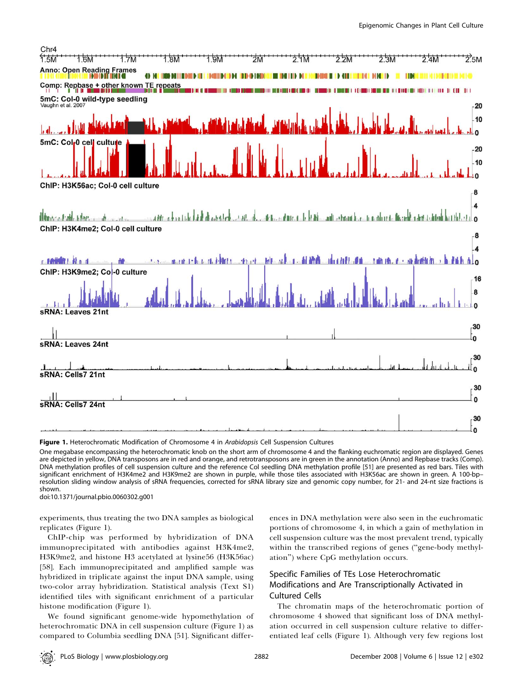

Figure 1. Heterochromatic Modification of Chromosome 4 in Arabidopsis Cell Suspension Cultures

One megabase encompassing the heterochromatic knob on the short arm of chromosome 4 and the flanking euchromatic region are displayed. Genes are depicted in yellow, DNA transposons are in red and orange, and retrotransposons are in green in the annotation (Anno) and Repbase tracks (Comp). DNA methylation profiles of cell suspension culture and the reference Col seedling DNA methylation profile [51] are presented as red bars. Tiles with significant enrichment of H3K4me2 and H3K9me2 are shown in purple, while those tiles associated with H3K56ac are shown in green. A 100-bp– resolution sliding window analysis of sRNA frequencies, corrected for sRNA library size and genomic copy number, for 21- and 24-nt size fractions is shown.

doi:10.1371/journal.pbio.0060302.g001

experiments, thus treating the two DNA samples as biological replicates (Figure 1).

ChIP-chip was performed by hybridization of DNA immunoprecipitated with antibodies against H3K4me2, H3K9me2, and histone H3 acetylated at lysine56 (H3K56ac) [58]. Each immunoprecipitated and amplified sample was hybridized in triplicate against the input DNA sample, using two-color array hybridization. Statistical analysis (Text S1) identified tiles with significant enrichment of a particular histone modification (Figure 1).

We found significant genome-wide hypomethylation of heterochromatic DNA in cell suspension culture (Figure 1) as compared to Columbia seedling DNA [51]. Significant differences in DNA methylation were also seen in the euchromatic portions of chromosome 4, in which a gain of methylation in cell suspension culture was the most prevalent trend, typically within the transcribed regions of genes ("gene-body methylation'') where CpG methylation occurs.

# Specific Families of TEs Lose Heterochromatic Modifications and Are Transcriptionally Activated in Cultured Cells

The chromatin maps of the heterochromatic portion of chromosome 4 showed that significant loss of DNA methylation occurred in cell suspension culture relative to differentiated leaf cells (Figure 1). Although very few regions lost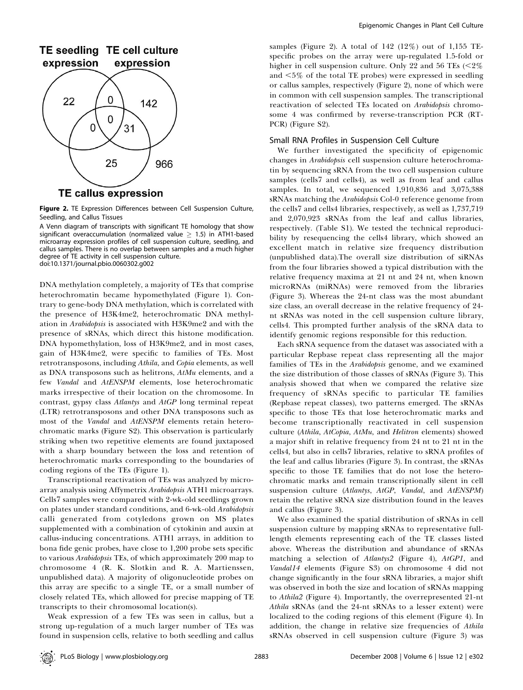

Figure 2. TE Expression Differences between Cell Suspension Culture, Seedling, and Callus Tissues

A Venn diagram of transcripts with significant TE homology that show significant overaccumulation (normalized value  $\geq$  1.5) in ATH1-based microarray expression profiles of cell suspension culture, seedling, and callus samples. There is no overlap between samples and a much higher degree of TE activity in cell suspension culture. doi:10.1371/journal.pbio.0060302.g002

DNA methylation completely, a majority of TEs that comprise heterochromatin became hypomethylated (Figure 1). Contrary to gene-body DNA methylation, which is correlated with the presence of H3K4me2, heterochromatic DNA methylation in Arabidopsis is associated with H3K9me2 and with the presence of sRNAs, which direct this histone modification. DNA hypomethylation, loss of H3K9me2, and in most cases, gain of H3K4me2, were specific to families of TEs. Most retrotransposons, including Athila, and Copia elements, as well as DNA transposons such as helitrons, AtMu elements, and a few Vandal and AtENSPM elements, lose heterochromatic marks irrespective of their location on the chromosome. In contrast, gypsy class Atlantys and AtGP long terminal repeat (LTR) retrotransposons and other DNA transposons such as most of the Vandal and AtENSPM elements retain heterochromatic marks (Figure S2). This observation is particularly striking when two repetitive elements are found juxtaposed with a sharp boundary between the loss and retention of heterochromatic marks corresponding to the boundaries of coding regions of the TEs (Figure 1).

Transcriptional reactivation of TEs was analyzed by microarray analysis using Affymetrix Arabidopsis ATH1 microarrays. Cells7 samples were compared with 2-wk-old seedlings grown on plates under standard conditions, and 6-wk-old Arabidopsis calli generated from cotyledons grown on MS plates supplemented with a combination of cytokinin and auxin at callus-inducing concentrations. ATH1 arrays, in addition to bona fide genic probes, have close to 1,200 probe sets specific to various Arabidopsis TEs, of which approximately 200 map to chromosome 4 (R. K. Slotkin and R. A. Martienssen, unpublished data). A majority of oligonucleotide probes on this array are specific to a single TE, or a small number of closely related TEs, which allowed for precise mapping of TE transcripts to their chromosomal location(s).

Weak expression of a few TEs was seen in callus, but a strong up-regulation of a much larger number of TEs was found in suspension cells, relative to both seedling and callus samples (Figure 2). A total of 142 (12%) out of 1,155 TEspecific probes on the array were up-regulated 1.5-fold or higher in cell suspension culture. Only 22 and 56 TEs  $\langle$  <2% and  $<5\%$  of the total TE probes) were expressed in seedling or callus samples, respectively (Figure 2), none of which were in common with cell suspension samples. The transcriptional reactivation of selected TEs located on Arabidopsis chromosome 4 was confirmed by reverse-transcription PCR (RT-PCR) (Figure S2).

#### Small RNA Profiles in Suspension Cell Culture

We further investigated the specificity of epigenomic changes in Arabidopsis cell suspension culture heterochromatin by sequencing sRNA from the two cell suspension culture samples (cells7 and cells4), as well as from leaf and callus samples. In total, we sequenced 1,910,836 and 3,075,388 sRNAs matching the Arabidopsis Col-0 reference genome from the cells7 and cells4 libraries, respectively, as well as 1,737,719 and 2,070,923 sRNAs from the leaf and callus libraries, respectively. (Table S1). We tested the technical reproducibility by resequencing the cells4 library, which showed an excellent match in relative size frequency distribution (unpublished data).The overall size distribution of siRNAs from the four libraries showed a typical distribution with the relative frequency maxima at 21 nt and 24 nt, when known microRNAs (miRNAs) were removed from the libraries (Figure 3). Whereas the 24-nt class was the most abundant size class, an overall decrease in the relative frequency of 24 nt sRNAs was noted in the cell suspension culture library, cells4. This prompted further analysis of the sRNA data to identify genomic regions responsible for this reduction.

Each sRNA sequence from the dataset was associated with a particular Repbase repeat class representing all the major families of TEs in the Arabidopsis genome, and we examined the size distribution of those classes of sRNAs (Figure 3). This analysis showed that when we compared the relative size frequency of sRNAs specific to particular TE families (Repbase repeat classes), two patterns emerged. The sRNAs specific to those TEs that lose heterochromatic marks and become transcriptionally reactivated in cell suspension culture (Athila, AtCopia, AtMu, and Helitron elements) showed a major shift in relative frequency from 24 nt to 21 nt in the cells4, but also in cells7 libraries, relative to sRNA profiles of the leaf and callus libraries (Figure 3). In contrast, the sRNAs specific to those TE families that do not lose the heterochromatic marks and remain transcriptionally silent in cell suspension culture (Atlantys, AtGP, Vandal, and AtENSPM) retain the relative sRNA size distribution found in the leaves and callus (Figure 3).

We also examined the spatial distribution of sRNAs in cell suspension culture by mapping sRNAs to representative fulllength elements representing each of the TE classes listed above. Whereas the distribution and abundance of sRNAs matching a selection of Atlantys2 (Figure 4), AtGP1, and Vandal14 elements (Figure S3) on chromosome 4 did not change significantly in the four sRNA libraries, a major shift was observed in both the size and location of sRNAs mapping to Athila2 (Figure 4). Importantly, the overrepresented 21-nt Athila sRNAs (and the 24-nt sRNAs to a lesser extent) were localized to the coding regions of this element (Figure 4). In addition, the change in relative size frequencies of Athila sRNAs observed in cell suspension culture (Figure 3) was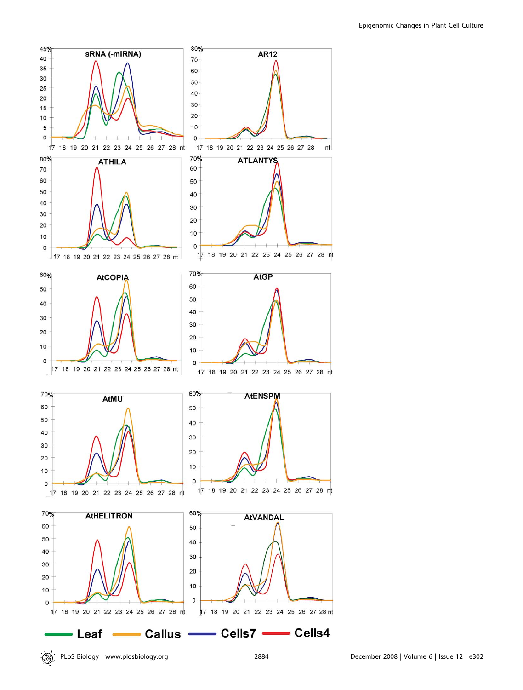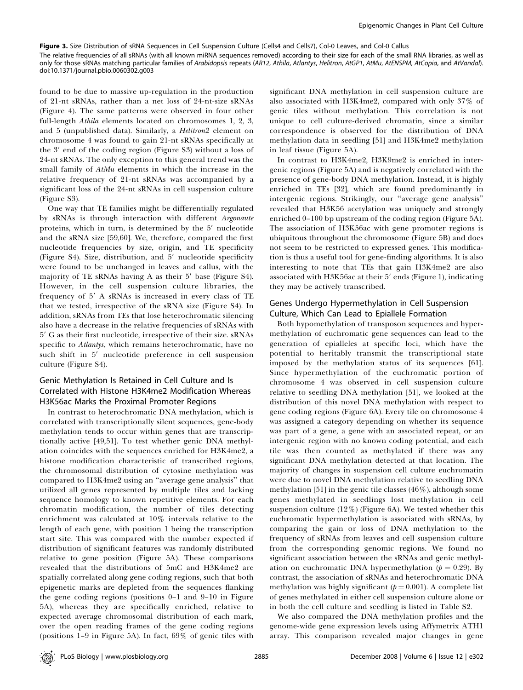Figure 3. Size Distribution of sRNA Sequences in Cell Suspension Culture (Cells4 and Cells7), Col-0 Leaves, and Col-0 Callus The relative frequencies of all sRNAs (with all known miRNA sequences removed) according to their size for each of the small RNA libraries, as well as only for those sRNAs matching particular families of Arabidopsis repeats (AR12, Athila, Atlantys, Helitron, AtGP1, AtMu, AtENSPM, AtCopia, and AtVandal). doi:10.1371/journal.pbio.0060302.g003

found to be due to massive up-regulation in the production of 21-nt sRNAs, rather than a net loss of 24-nt-size sRNAs (Figure 4). The same patterns were observed in four other full-length *Athila* elements located on chromosomes 1, 2, 3, and 5 (unpublished data). Similarly, a Helitron2 element on chromosome 4 was found to gain 21-nt sRNAs specifically at the 3' end of the coding region (Figure S3) without a loss of 24-nt sRNAs. The only exception to this general trend was the small family of AtMu elements in which the increase in the relative frequency of 21-nt sRNAs was accompanied by a significant loss of the 24-nt sRNAs in cell suspension culture (Figure S3).

One way that TE families might be differentially regulated by sRNAs is through interaction with different *Argonaute* proteins, which in turn, is determined by the 5' nucleotide and the sRNA size [59,60]. We, therefore, compared the first nucleotide frequencies by size, origin, and TE specificity (Figure S4). Size, distribution, and  $5'$  nucleotide specificity were found to be unchanged in leaves and callus, with the majority of TE sRNAs having A as their 5' base (Figure S4). However, in the cell suspension culture libraries, the frequency of 5' A sRNAs is increased in every class of TE that we tested, irrespective of the sRNA size (Figure S4). In addition, sRNAs from TEs that lose heterochromatic silencing also have a decrease in the relative frequencies of sRNAs with 5' G as their first nucleotide, irrespective of their size. sRNAs specific to Atlantys, which remains heterochromatic, have no such shift in 5' nucleotide preference in cell suspension culture (Figure S4).

# Genic Methylation Is Retained in Cell Culture and Is Correlated with Histone H3K4me2 Modification Whereas H3K56ac Marks the Proximal Promoter Regions

In contrast to heterochromatic DNA methylation, which is correlated with transcriptionally silent sequences, gene-body methylation tends to occur within genes that are transcriptionally active [49,51]. To test whether genic DNA methylation coincides with the sequences enriched for H3K4me2, a histone modification characteristic of transcribed regions, the chromosomal distribution of cytosine methylation was compared to H3K4me2 using an ''average gene analysis'' that utilized all genes represented by multiple tiles and lacking sequence homology to known repetitive elements. For each chromatin modification, the number of tiles detecting enrichment was calculated at 10% intervals relative to the length of each gene, with position 1 being the transcription start site. This was compared with the number expected if distribution of significant features was randomly distributed relative to gene position (Figure 5A). These comparisons revealed that the distributions of 5mC and H3K4me2 are spatially correlated along gene coding regions, such that both epigenetic marks are depleted from the sequences flanking the gene coding regions (positions 0–1 and 9–10 in Figure 5A), whereas they are specifically enriched, relative to expected average chromosomal distribution of each mark, over the open reading frames of the gene coding regions (positions 1–9 in Figure 5A). In fact, 69% of genic tiles with

significant DNA methylation in cell suspension culture are also associated with H3K4me2, compared with only 37% of genic tiles without methylation. This correlation is not unique to cell culture-derived chromatin, since a similar correspondence is observed for the distribution of DNA methylation data in seedling [51] and H3K4me2 methylation in leaf tissue (Figure 5A).

In contrast to H3K4me2, H3K9me2 is enriched in intergenic regions (Figure 5A) and is negatively correlated with the presence of gene-body DNA methylation. Instead, it is highly enriched in TEs [32], which are found predominantly in intergenic regions. Strikingly, our ''average gene analysis'' revealed that H3K56 acetylation was uniquely and strongly enriched 0–100 bp upstream of the coding region (Figure 5A). The association of H3K56ac with gene promoter regions is ubiquitous throughout the chromosome (Figure 5B) and does not seem to be restricted to expressed genes. This modification is thus a useful tool for gene-finding algorithms. It is also interesting to note that TEs that gain H3K4me2 are also associated with H3K56ac at their 5' ends (Figure 1), indicating they may be actively transcribed.

## Genes Undergo Hypermethylation in Cell Suspension Culture, Which Can Lead to Epiallele Formation

Both hypomethylation of transposon sequences and hypermethylation of euchromatic gene sequences can lead to the generation of epialleles at specific loci, which have the potential to heritably transmit the transcriptional state imposed by the methylation status of its sequences [61]. Since hypermethylation of the euchromatic portion of chromosome 4 was observed in cell suspension culture relative to seedling DNA methylation [51], we looked at the distribution of this novel DNA methylation with respect to gene coding regions (Figure 6A). Every tile on chromosome 4 was assigned a category depending on whether its sequence was part of a gene, a gene with an associated repeat, or an intergenic region with no known coding potential, and each tile was then counted as methylated if there was any significant DNA methylation detected at that location. The majority of changes in suspension cell culture euchromatin were due to novel DNA methylation relative to seedling DNA methylation [51] in the genic tile classes (46%), although some genes methylated in seedlings lost methylation in cell suspension culture (12%) (Figure 6A). We tested whether this euchromatic hypermethylation is associated with sRNAs, by comparing the gain or loss of DNA methylation to the frequency of sRNAs from leaves and cell suspension culture from the corresponding genomic regions. We found no significant association between the sRNAs and genic methylation on euchromatic DNA hypermethylation ( $p = 0.29$ ). By contrast, the association of sRNAs and heterochromatic DNA methylation was highly significant ( $p = 0.001$ ). A complete list of genes methylated in either cell suspension culture alone or in both the cell culture and seedling is listed in Table S2.

We also compared the DNA methylation profiles and the genome-wide gene expression levels using Affymetrix ATH1 array. This comparison revealed major changes in gene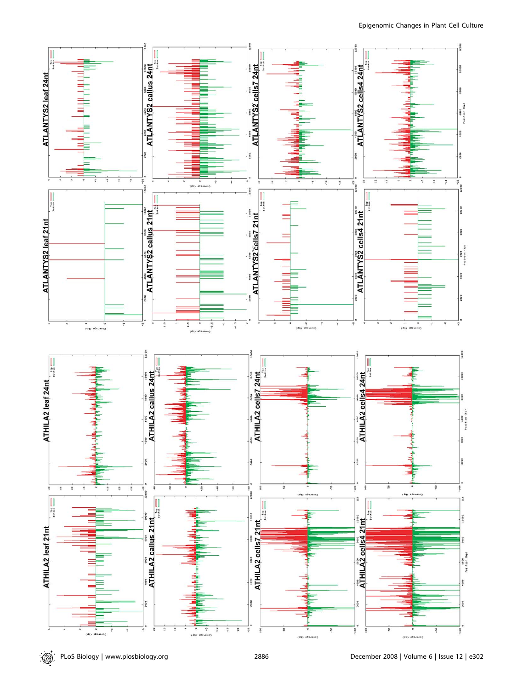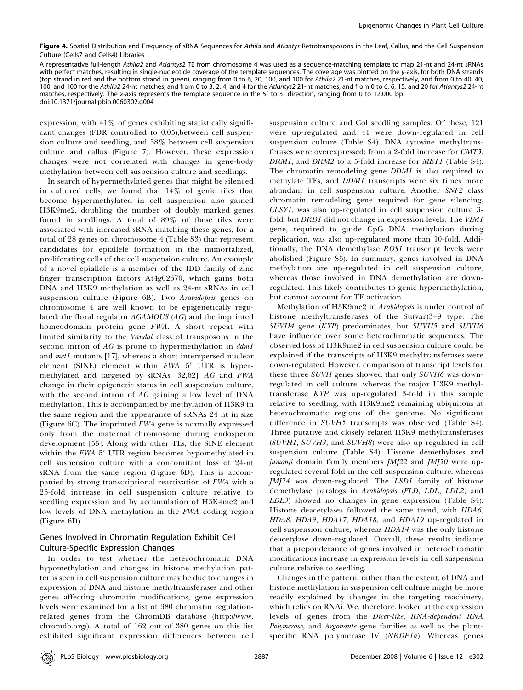Figure 4. Spatial Distribution and Frequency of sRNA Sequences for Athila and Atlantys Retrotransposons in the Leaf, Callus, and the Cell Suspension Culture (Cells7 and Cells4) Libraries

A representative full-length Athila2 and Atlantys2 TE from chromosome 4 was used as a sequence-matching template to map 21-nt and 24-nt sRNAs with perfect matches, resulting in single-nucleotide coverage of the template sequences. The coverage was plotted on the y-axis, for both DNA strands (top strand in red and the bottom strand in green), ranging from 0 to 6, 20, 100, and 100 for Athila2 21-nt matches, respectively, and from 0 to 40, 40, 100, and 100 for the Athila2 24-nt matches; and from 0 to 3, 2, 4, and 4 for the Atlantys2 21-nt matches, and from 0 to 6, 6, 15, and 20 for Atlantys2 24-nt matches, respectively. The x-axis represents the template sequence in the 5' to 3' direction, ranging from 0 to 12,000 bp. doi:10.1371/journal.pbio.0060302.g004

expression, with 41% of genes exhibiting statistically significant changes (FDR controlled to 0.05),between cell suspension culture and seedling, and 58% between cell suspension culture and callus (Figure 7). However, these expression changes were not correlated with changes in gene-body methylation between cell suspension culture and seedlings.

In search of hypermethylated genes that might be silenced in cultured cells, we found that 14% of genic tiles that become hypermethylated in cell suspension also gained H3K9me2, doubling the number of doubly marked genes found in seedlings. A total of 89% of these tiles were associated with increased sRNA matching these genes, for a total of 28 genes on chromosome 4 (Table S3) that represent candidates for epiallele formation in the immortalized, proliferating cells of the cell suspension culture. An example of a novel epiallele is a member of the IDD family of zinc finger transcription factors At4g02670, which gains both DNA and H3K9 methylation as well as 24-nt sRNAs in cell suspension culture (Figure 6B). Two Arabidopsis genes on chromosome 4 are well known to be epigenetically regulated: the floral regulator AGAMOUS (AG) and the imprinted homeodomain protein gene FWA. A short repeat with limited similarity to the Vandal class of transposons in the second intron of  $AG$  is prone to hypermethylation in  $ddm1$ and met1 mutants [17], whereas a short interspersed nuclear element (SINE) element within  $FWA$  5' UTR is hypermethylated and targeted by sRNAs [32,62]. AG and FWA change in their epigenetic status in cell suspension culture, with the second intron of AG gaining a low level of DNA methylation. This is accompanied by methylation of H3K9 in the same region and the appearance of sRNAs 24 nt in size (Figure 6C). The imprinted FWA gene is normally expressed only from the maternal chromosome during endosperm development [55]. Along with other TEs, the SINE element within the  $FWA$  5' UTR region becomes hypomethylated in cell suspension culture with a concomitant loss of 24-nt sRNA from the same region (Figure 6D). This is accompanied by strong transcriptional reactivation of FWA with a 25-fold increase in cell suspension culture relative to seedling expression and by accumulation of H3K4me2 and low levels of DNA methylation in the FWA coding region (Figure 6D).

## Genes Involved in Chromatin Regulation Exhibit Cell Culture-Specific Expression Changes

In order to test whether the heterochromatic DNA hypomethylation and changes in histone methylation patterns seen in cell suspension culture may be due to changes in expression of DNA and histone methyltransferases and other genes affecting chromatin modifications, gene expression levels were examined for a list of 380 chromatin regulationrelated genes from the ChromDB database (http://www. chromdb.org/). A total of 162 out of 380 genes on this list exhibited significant expression differences between cell

suspension culture and Col seedling samples. Of these, 121 were up-regulated and 41 were down-regulated in cell suspension culture (Table S4). DNA cytosine methyltransferases were overexpressed; from a 2-fold increase for CMT3, DRM1, and DRM2 to a 5-fold increase for MET1 (Table S4). The chromatin remodeling gene DDM1 is also required to methylate TEs, and DDM1 transcripts were six times more abundant in cell suspension culture. Another SNF2 class chromatin remodeling gene required for gene silencing, CLSY1, was also up-regulated in cell suspension culture 3 fold, but DRD1 did not change in expression levels. The VIM1 gene, required to guide CpG DNA methylation during replication, was also up-regulated more than 10-fold. Additionally, the DNA demethylase ROS1 transcript levels were abolished (Figure S5). In summary, genes involved in DNA methylation are up-regulated in cell suspension culture, whereas those involved in DNA demethylation are downregulated. This likely contributes to genic hypermethylation, but cannot account for TE activation.

Methylation of H3K9me2 in Arabidopsis is under control of histone methyltransferases of the Su(var)3–9 type. The SUVH4 gene (KYP) predominates, but SUVH5 and SUVH6 have influence over some heterochromatic sequences. The observed loss of H3K9me2 in cell suspension culture could be explained if the transcripts of H3K9 methyltransferases were down-regulated. However, comparison of transcript levels for these three SUVH genes showed that only SUVH6 was downregulated in cell culture, whereas the major H3K9 methyltransferase KYP was up-regulated 3-fold in this sample relative to seedling, with H3K9me2 remaining ubiquitous at heterochromatic regions of the genome. No significant difference in SUVH5 transcripts was observed (Table S4). Three putative and closely related H3K9 methyltransferases (SUVH1, SUVH3, and SUVH8) were also up-regulated in cell suspension culture (Table S4). Histone demethylases and jumonji domain family members *JMJ22* and *JMJ30* were upregulated several fold in the cell suspension culture, whereas JMJ24 was down-regulated. The LSD1 family of histone demethylase paralogs in Arabidopsis (FLD, LDL, LDL2, and LDL3) showed no changes in gene expression (Table S4). Histone deacetylases followed the same trend, with HDA6, HDA8, HDA9, HDA17, HDA18, and HDA19 up-regulated in cell suspension culture, whereas HDA14 was the only histone deacetylase down-regulated. Overall, these results indicate that a preponderance of genes involved in heterochromatic modifications increase in expression levels in cell suspension culture relative to seedling.

Changes in the pattern, rather than the extent, of DNA and histone methylation in suspension cell culture might be more readily explained by changes in the targeting machinery, which relies on RNAi. We, therefore, looked at the expression levels of genes from the Dicer-like, RNA-dependent RNA Polymerase, and Argonaute gene families as well as the plantspecific RNA polymerase IV (NRDP1a). Whereas genes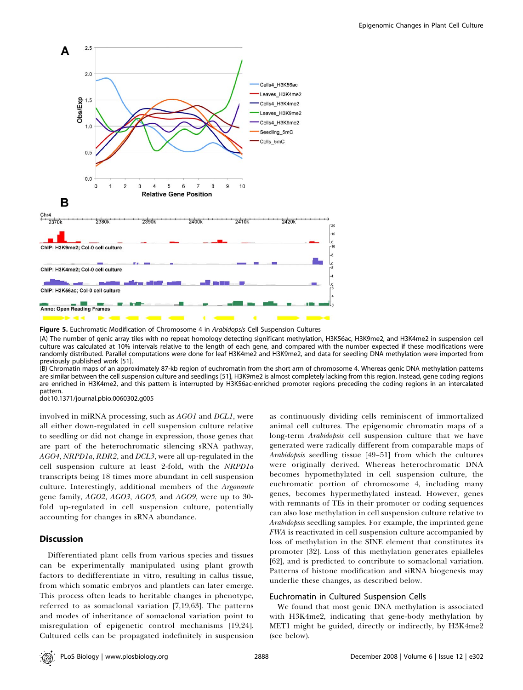

Figure 5. Euchromatic Modification of Chromosome 4 in Arabidopsis Cell Suspension Cultures

(A) The number of genic array tiles with no repeat homology detecting significant methylation, H3K56ac, H3K9me2, and H3K4me2 in suspension cell culture was calculated at 10% intervals relative to the length of each gene, and compared with the number expected if these modifications were randomly distributed. Parallel computations were done for leaf H3K4me2 and H3K9me2, and data for seedling DNA methylation were imported from previously published work [51].

(B) Chromatin maps of an approximately 87-kb region of euchromatin from the short arm of chromosome 4. Whereas genic DNA methylation patterns are similar between the cell suspension culture and seedlings [51], H3K9me2 is almost completely lacking from this region. Instead, gene coding regions are enriched in H3K4me2, and this pattern is interrupted by H3K56ac-enriched promoter regions preceding the coding regions in an intercalated pattern.

doi:10.1371/journal.pbio.0060302.g005

involved in miRNA processing, such as AGO1 and DCL1, were all either down-regulated in cell suspension culture relative to seedling or did not change in expression, those genes that are part of the heterochromatic silencing sRNA pathway, AGO4, NRPD1a, RDR2, and DCL3, were all up-regulated in the cell suspension culture at least 2-fold, with the NRPD1a transcripts being 18 times more abundant in cell suspension culture. Interestingly, additional members of the Argonaute gene family, AGO2, AGO3, AGO5, and AGO9, were up to 30 fold up-regulated in cell suspension culture, potentially accounting for changes in sRNA abundance.

# **Discussion**

Differentiated plant cells from various species and tissues can be experimentally manipulated using plant growth factors to dedifferentiate in vitro, resulting in callus tissue, from which somatic embryos and plantlets can later emerge. This process often leads to heritable changes in phenotype, referred to as somaclonal variation [7,19,63]. The patterns and modes of inheritance of somaclonal variation point to misregulation of epigenetic control mechanisms [19,24]. Cultured cells can be propagated indefinitely in suspension

as continuously dividing cells reminiscent of immortalized animal cell cultures. The epigenomic chromatin maps of a long-term Arabidopsis cell suspension culture that we have generated were radically different from comparable maps of Arabidopsis seedling tissue [49–51] from which the cultures were originally derived. Whereas heterochromatic DNA becomes hypomethylated in cell suspension culture, the euchromatic portion of chromosome 4, including many genes, becomes hypermethylated instead. However, genes with remnants of TEs in their promoter or coding sequences can also lose methylation in cell suspension culture relative to Arabidopsis seedling samples. For example, the imprinted gene FWA is reactivated in cell suspension culture accompanied by loss of methylation in the SINE element that constitutes its promoter [32]. Loss of this methylation generates epialleles [62], and is predicted to contribute to somaclonal variation. Patterns of histone modification and siRNA biogenesis may underlie these changes, as described below.

#### Euchromatin in Cultured Suspension Cells

We found that most genic DNA methylation is associated with H3K4me2, indicating that gene-body methylation by MET1 might be guided, directly or indirectly, by H3K4me2 (see below).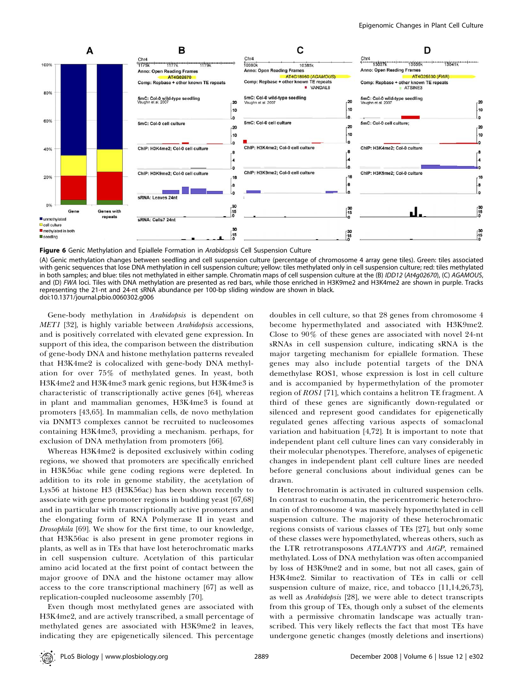

Figure 6 Genic Methylation and Epiallele Formation in Arabidopsis Cell Suspension Culture

(A) Genic methylation changes between seedling and cell suspension culture (percentage of chromosome 4 array gene tiles). Green: tiles associated with genic sequences that lose DNA methylation in cell suspension culture; yellow: tiles methylated only in cell suspension culture; red: tiles methylated in both samples; and blue: tiles not methylated in either sample. Chromatin maps of cell suspension culture at the (B) IDD12 (At4q02670), (C) AGAMOUS, and (D) FWA loci. Tiles with DNA methylation are presented as red bars, while those enriched in H3K9me2 and H3K4me2 are shown in purple. Tracks representing the 21-nt and 24-nt sRNA abundance per 100-bp sliding window are shown in black. doi:10.1371/journal.pbio.0060302.g006

Gene-body methylation in Arabidopsis is dependent on MET1 [32], is highly variable between Arabidopsis accessions, and is positively correlated with elevated gene expression. In support of this idea, the comparison between the distribution of gene-body DNA and histone methylation patterns revealed that H3K4me2 is colocalized with gene-body DNA methylation for over 75% of methylated genes. In yeast, both H3K4me2 and H3K4me3 mark genic regions, but H3K4me3 is characteristic of transcriptionally active genes [64], whereas in plant and mammalian genomes, H3K4me3 is found at promoters [43,65]. In mammalian cells, de novo methylation via DNMT3 complexes cannot be recruited to nucleosomes containing H3K4me3, providing a mechanism. perhaps, for exclusion of DNA methylation from promoters [66].

Whereas H3K4me2 is deposited exclusively within coding regions, we showed that promoters are specifically enriched in H3K56ac while gene coding regions were depleted. In addition to its role in genome stability, the acetylation of Lys56 at histone H3 (H3K56ac) has been shown recently to associate with gene promoter regions in budding yeast [67,68] and in particular with transcriptionally active promoters and the elongating form of RNA Polymerase II in yeast and Drosophila [69]. We show for the first time, to our knowledge, that H3K56ac is also present in gene promoter regions in plants, as well as in TEs that have lost heterochromatic marks in cell suspension culture. Acetylation of this particular amino acid located at the first point of contact between the major groove of DNA and the histone octamer may allow access to the core transcriptional machinery [67] as well as replication-coupled nucleosome assembly [70].

Even though most methylated genes are associated with H3K4me2, and are actively transcribed, a small percentage of methylated genes are associated with H3K9me2 in leaves, indicating they are epigenetically silenced. This percentage

doubles in cell culture, so that 28 genes from chromosome 4 become hypermethylated and associated with H3K9me2. Close to 90% of these genes are associated with novel 24-nt sRNAs in cell suspension culture, indicating sRNA is the major targeting mechanism for epiallele formation. These genes may also include potential targets of the DNA demethylase ROS1, whose expression is lost in cell culture and is accompanied by hypermethylation of the promoter region of ROS1 [71], which contains a helitron TE fragment. A third of these genes are significantly down-regulated or silenced and represent good candidates for epigenetically regulated genes affecting various aspects of somaclonal variation and habituation [4,72]. It is important to note that independent plant cell culture lines can vary considerably in their molecular phenotypes. Therefore, analyses of epigenetic changes in independent plant cell culture lines are needed before general conclusions about individual genes can be drawn.

Heterochromatin is activated in cultured suspension cells. In contrast to euchromatin, the pericentromeric heterochromatin of chromosome 4 was massively hypomethylated in cell suspension culture. The majority of these heterochromatic regions consists of various classes of TEs [27], but only some of these classes were hypomethylated, whereas others, such as the LTR retrotransposons ATLANTYS and AtGP, remained methylated. Loss of DNA methylation was often accompanied by loss of H3K9me2 and in some, but not all cases, gain of H3K4me2. Similar to reactivation of TEs in calli or cell suspension culture of maize, rice, and tobacco [11,14,26,73], as well as Arabidopsis [28], we were able to detect transcripts from this group of TEs, though only a subset of the elements with a permissive chromatin landscape was actually transcribed. This very likely reflects the fact that most TEs have undergone genetic changes (mostly deletions and insertions)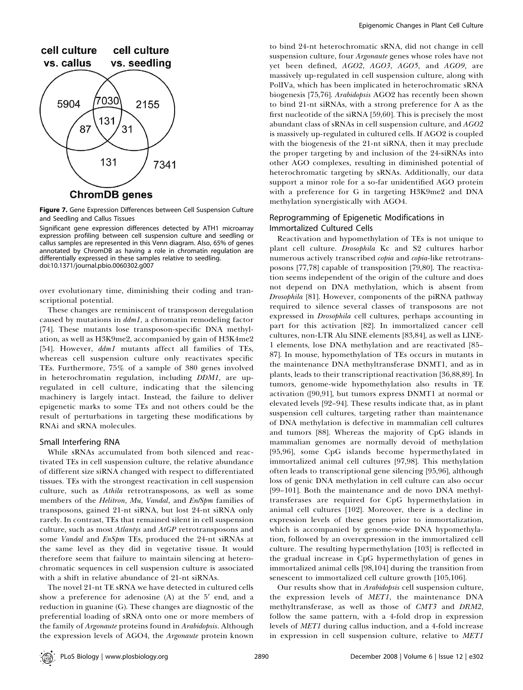

Figure 7. Gene Expression Differences between Cell Suspension Culture and Seedling and Callus Tissues

Significant gene expression differences detected by ATH1 microarray expression profiling between cell suspension culture and seedling or callus samples are represented in this Venn diagram. Also, 65% of genes annotated by ChromDB as having a role in chromatin regulation are differentially expressed in these samples relative to seedling. doi:10.1371/journal.pbio.0060302.g007

over evolutionary time, diminishing their coding and transcriptional potential.

These changes are reminiscent of transposon deregulation caused by mutations in ddm1, a chromatin remodeling factor [74]. These mutants lose transposon-specific DNA methylation, as well as H3K9me2, accompanied by gain of H3K4me2 [54]. However, ddm1 mutants affect all families of TEs, whereas cell suspension culture only reactivates specific TEs. Furthermore, 75% of a sample of 380 genes involved in heterochromatin regulation, including DDM1, are upregulated in cell culture, indicating that the silencing machinery is largely intact. Instead, the failure to deliver epigenetic marks to some TEs and not others could be the result of perturbations in targeting these modifications by RNAi and sRNA molecules.

#### Small Interfering RNA

While sRNAs accumulated from both silenced and reactivated TEs in cell suspension culture, the relative abundance of different size siRNA changed with respect to differentiated tissues. TEs with the strongest reactivation in cell suspension culture, such as Athila retrotransposons, as well as some members of the Helitron, Mu, Vandal, and En/Spm families of transposons, gained 21-nt siRNA, but lost 24-nt siRNA only rarely. In contrast, TEs that remained silent in cell suspension culture, such as most Atlantys and AtGP retrotransposons and some Vandal and EnSpm TEs, produced the 24-nt siRNAs at the same level as they did in vegetative tissue. It would therefore seem that failure to maintain silencing at heterochromatic sequences in cell suspension culture is associated with a shift in relative abundance of 21-nt siRNAs.

The novel 21-nt TE sRNA we have detected in cultured cells show a preference for adenosine  $(A)$  at the  $5'$  end, and a reduction in guanine (G). These changes are diagnostic of the preferential loading of sRNA onto one or more members of the family of Argonaute proteins found in Arabidopsis. Although the expression levels of AGO4, the Argonaute protein known

to bind 24-nt heterochromatic sRNA, did not change in cell suspension culture, four Argonaute genes whose roles have not yet been defined, AGO2, AGO3, AGO5, and AGO9, are massively up-regulated in cell suspension culture, along with PolIVa, which has been implicated in heterochromatic sRNA biogenesis [75,76]. Arabidopsis AGO2 has recently been shown to bind 21-nt siRNAs, with a strong preference for A as the first nucleotide of the siRNA [59,60]. This is precisely the most abundant class of sRNAs in cell suspension culture, and AGO2 is massively up-regulated in cultured cells. If AGO2 is coupled with the biogenesis of the 21-nt siRNA, then it may preclude the proper targeting by and inclusion of the 24-siRNAs into other AGO complexes, resulting in diminished potential of heterochromatic targeting by sRNAs. Additionally, our data support a minor role for a so-far unidentified AGO protein with a preference for G in targeting H3K9me2 and DNA methylation synergistically with AGO4.

## Reprogramming of Epigenetic Modifications in Immortalized Cultured Cells

Reactivation and hypomethylation of TEs is not unique to plant cell culture. Drosophila Kc and S2 cultures harbor numerous actively transcribed copia and copia-like retrotransposons [77,78] capable of transposition [79,80]. The reactivation seems independent of the origin of the culture and does not depend on DNA methylation, which is absent from Drosophila [81]. However, components of the piRNA pathway required to silence several classes of transposons are not expressed in Drosophila cell cultures, perhaps accounting in part for this activation [82]. In immortalized cancer cell cultures, non-LTR Alu SINE elements [83,84], as well as LINE-1 elements, lose DNA methylation and are reactivated [85– 87]. In mouse, hypomethylation of TEs occurs in mutants in the maintenance DNA methyltransferase DNMT1, and as in plants, leads to their transcriptional reactivation [36,88,89]. In tumors, genome-wide hypomethylation also results in TE activation ([90,91], but tumors express DNMT1 at normal or elevated levels [92–94]. These results indicate that, as in plant suspension cell cultures, targeting rather than maintenance of DNA methylation is defective in mammalian cell cultures and tumors [88]. Whereas the majority of CpG islands in mammalian genomes are normally devoid of methylation [95,96], some CpG islands become hypermethylated in immortalized animal cell cultures [97,98]. This methylation often leads to transcriptional gene silencing [95,96], although loss of genic DNA methylation in cell culture can also occur [99–101]. Both the maintenance and de novo DNA methyltransferases are required for CpG hypermethylation in animal cell cultures [102]. Moreover, there is a decline in expression levels of these genes prior to immortalization, which is accompanied by genome-wide DNA hypomethylation, followed by an overexpression in the immortalized cell culture. The resulting hypermethylation [103] is reflected in the gradual increase in CpG hypermethylation of genes in immortalized animal cells [98,104] during the transition from senescent to immortalized cell culture growth [105,106].

Our results show that in Arabidopsis cell suspension culture, the expression levels of MET1, the maintenance DNA methyltransferase, as well as those of CMT3 and DRM2, follow the same pattern, with a 4-fold drop in expression levels of MET1 during callus induction, and a 4-fold increase in expression in cell suspension culture, relative to MET1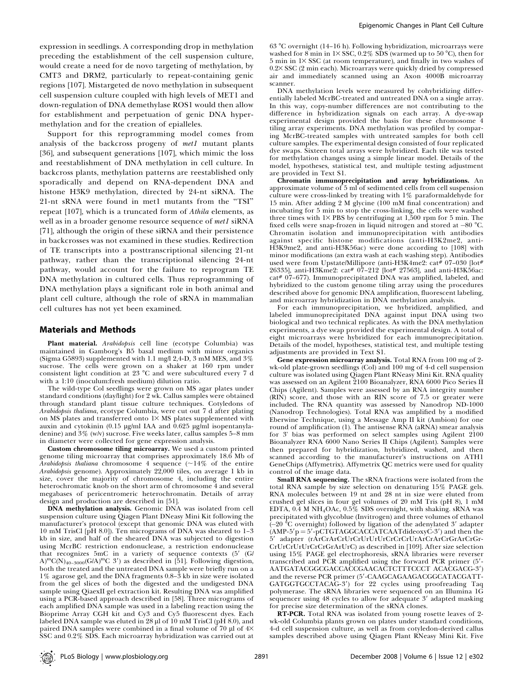expression in seedlings. A corresponding drop in methylation preceding the establishment of the cell suspension culture, would create a need for de novo targeting of methylation, by CMT3 and DRM2, particularly to repeat-containing genic regions [107]. Mistargeted de novo methylation in subsequent cell suspension culture coupled with high levels of MET1 and down-regulation of DNA demethylase ROS1 would then allow for establishment and perpetuation of genic DNA hypermethylation and for the creation of epialleles.

Support for this reprogramming model comes from analysis of the backcross progeny of met1 mutant plants [36], and subsequent generations [107], which mimic the loss and reestablishment of DNA methylation in cell culture. In backcross plants, methylation patterns are reestablished only sporadically and depend on RNA-dependent DNA and histone H3K9 methylation, directed by 24-nt siRNA. The 21-nt sRNA were found in met1 mutants from the ''TSI'' repeat [107], which is a truncated form of Athila elements, as well as in a broader genome resource sequence of met1 siRNA [71], although the origin of these siRNA and their persistence in backcrosses was not examined in these studies. Redirection of TE transcripts into a posttranscriptional silencing 21-nt pathway, rather than the transcriptional silencing 24-nt pathway, would account for the failure to reprogram TE DNA methylation in cultured cells. Thus reprogramming of DNA methylation plays a significant role in both animal and plant cell culture, although the role of sRNA in mammalian cell cultures has not yet been examined.

#### Materials and Methods

Plant material. Arabidopsis cell line (ecotype Columbia) was maintained in Gamborg's B5 basal medium with minor organics (Sigma G5893) supplemented with 1.1 mg/l 2,4-D, 3 mM MES, and 3% sucrose. The cells were grown on a shaker at 160 rpm under consistent light condition at  $23 \text{ °C}$  and were subcultured every  $7 \text{ d}$ with a 1:10 (inoculum:fresh medium) dilution ratio.

The wild-type Col seedlings were grown on MS agar plates under standard conditions (day/light) for 2 wk. Callus samples were obtained through standard plant tissue culture techniques. Cotyledons of Arabidopsis thaliana, ecotype Columbia, were cut out 7 d after plating on MS plates and transferred onto  $1\times$  MS plates supplemented with auxin and cytokinin (0.15 µg/ml IAA and 0.625 µg/ml isopentanyladenine) and 3% (w/v) sucrose. Five weeks later, callus samples 5–8 mm in diameter were collected for gene expression analysis.

Custom chromosome tiling microarray. We used a custom printed genome tiling microarray that comprises approximately 18.6 Mb of Arabidopsis thaliana chromosome 4 sequence  $($ ~14% of the entire Arabidopsis genome). Approximately 22,000 tiles, on average 1 kb in size, cover the majority of chromosome 4, including the entire heterochromatic knob on the short arm of chromosome 4 and several megabases of pericentromeric heterochromatin. Details of array design and production are described in [51].

DNA methylation analysis. Genomic DNA was isolated from cell suspension culture using Qiagen Plant DNeasy Mini Kit following the manufacturer's protocol (except that genomic DNA was eluted with 10 mM TrisCl [pH 8.0]). Ten micrograms of DNA was sheared to 1–3 kb in size, and half of the sheared DNA was subjected to digestion using McrBC restriction endonuclease, a restriction endonuclease that recognizes  $5mC$  in a variety of sequence contexts ( $5'$  (G/  $A$ <sup>m</sup>C(N)<sub>40-3000</sub>(G/A)<sup>m</sup>C 3') as described in [51]. Following digestion, both the treated and the untreated DNA sample were briefly run on a 1% agarose gel, and the DNA fragments 0.8–3 kb in size were isolated from the gel slices of both the digested and the undigested DNA sample using QiaexII gel extraction kit. Resulting DNA was amplified using a PCR-based approach described in [58]. Three micrograms of each amplified DNA sample was used in a labeling reaction using the Bioprime Array CGH kit and Cy3 and Cy5 fluorescent dyes. Each labeled DNA sample was eluted in  $28 \mu$  of 10 mM TrisCl (pH 8.0), and paired DNA samples were combined in a final volume of 70  $\mu$ l of 4 $\times$ SSC and 0.2% SDS. Each microarray hybridization was carried out at

 $63 °C$  overnight (14–16 h). Following hybridization, microarrays were washed for 8 min in  $1 \times$  SSC, 0.2% SDS (warmed up to 50 °C), then for  $5$  min in  $1\times$  SSC (at room temperature), and finally in two washes of 0.23 SSC (2 min each). Microarrays were quickly dried by compressed air and immediately scanned using an Axon 4000B microarray scanner.

DNA methylation levels were measured by cohybridizing differentially labeled McrBC-treated and untreated DNA on a single array. In this way, copy-number differences are not contributing to the difference in hybridization signals on each array. A dye-swap experimental design provided the basis for these chromosome 4 tiling array experiments. DNA methylation was profiled by comparing McrBC-treated samples with untreated samples for both cell culture samples. The experimental design consisted of four replicated dye swaps. Sixteen total arrays were hybridized. Each tile was tested for methylation changes using a simple linear model. Details of the model, hypotheses, statistical test, and multiple testing adjustment are provided in Text S1.

Chromatin immunoprecipitation and array hybridizations. An approximate volume of 5 ml of sedimented cells from cell suspension culture were cross-linked by treating with 1% paraformaldehyde for 15 min. After adding 2 M glycine (100 mM final concentration) and incubating for 5 min to stop the cross-linking, the cells were washed three times with  $1\times$  PBS by centrifuging at 1,500 rpm for 5 min. The fixed cells were snap-frozen in liquid nitrogen and stored at  $-80$  °C. Chromatin isolation and immunoprecipitation with antibodies against specific histone modifications (anti-H3K2me2, anti-H3K9me2, and anti-H3K56ac) were done according to [108] with minor modifications (an extra wash at each washing step). Antibodies used were from Upstate/Millipore (anti-H3K4me2: cat# 07–030 [lot# 26335], anti-H3Kme2: cat# 07–212 [lot# 27563], and anti-H3K56ac: cat# 07–677). Immunoprecipitated DNA was amplified, labeled, and hybridized to the custom genome tiling array using the procedures described above for genomic DNA amplification, fluorescent labeling, and microarray hybridization in DNA methylation analysis.

For each immunoprecipitation, we hybridized, amplified, and labeled immunoprecipitated DNA against input DNA using two biological and two technical replicates. As with the DNA methylation experiments, a dye swap provided the experimental design. A total of eight microarrays were hybridized for each immunoprecipitation. Details of the model, hypotheses, statistical test, and multiple testing adjustments are provided in Text S1.

Gene expression microarray analysis. Total RNA from 100 mg of 2 wk-old plate-grown seedlings (Col) and 100 mg of 4-d cell suspension culture was isolated using Qiagen Plant RNeasy Mini Kit. RNA quality was assessed on an Agilent 2100 Bioanalyzer, RNA 6000 Pico Series II Chips (Agilent). Samples were assessed by an RNA integrity number (RIN) score, and those with an RIN score of 7.5 or greater were included. The RNA quantity was assessed by Nanodrop ND-1000 (Nanodrop Technologies). Total RNA was amplified by a modified Eberwine Technique, using a Message Amp II kit (Ambion) for one round of amplification (1). The antisense RNA (aRNA) smear analysis for 3' bias was performed on select samples using Agilent 2100 Bioanalyzer RNA 6000 Nano Series II Chips (Agilent). Samples were then prepared for hybridization, hybridized, washed, and then scanned according to the manufacturer's instructions on ATH1 GeneChips (Affymetrix). Affymetrix QC metrics were used for quality control of the image data.

Small RNA sequencing. The sRNA fractions were isolated from the total RNA sample by size selection on denaturing 15% PAGE gels. RNA molecules between 19 nt and 28 nt in size were eluted from crushed gel slices in four gel volumes of 20 mM Tris (pH 8), 1 mM EDTA, 0.4 M NH4OAc, 0.5% SDS overnight, with shaking. sRNA was precipitated with glycoblue (Invitrogen) and three volumes of ethanol  $(-20 \degree C$  overnight) followed by ligation of the adenylated 3' adapter  $(AMP-5'p = 5'-pCTGTAGGCACCATCAATdideoxyC-3')$  and then the 59 adapter (rArCrArCrUrCrUrUrUrCrCrCrUrArCrArCrGrArCrGr-CrUrCrUrUrCrCrGrArUrC) as described in [109]. After size selection using 15% PAGE gel electrophoresis, sRNA libraries were reverser transcribed and PCR amplified using the forward PCR primer (5'-AATGATACGGCGACCACCGAACACTCTTTCCCT ACACGACG-3') and the reverse PCR primer (5'-CAAGCAGAAGACGGCATACGATT-GATGGTGCCTACAG-3') for 22 cycles using proofreading Taq polymerase. The sRNA libraries were sequenced on an Illumina 1G sequencer using 48 cycles to allow for adequate 3' adapted masking for precise size determination of the sRNA clones.

RT-PCR. Total RNA was isolated from young rosette leaves of 2 wk-old Columbia plants grown on plates under standard conditions, 4-d cell suspension culture, as well as from cotyledon-derived callus samples described above using Qiagen Plant RNeasy Mini Kit. Five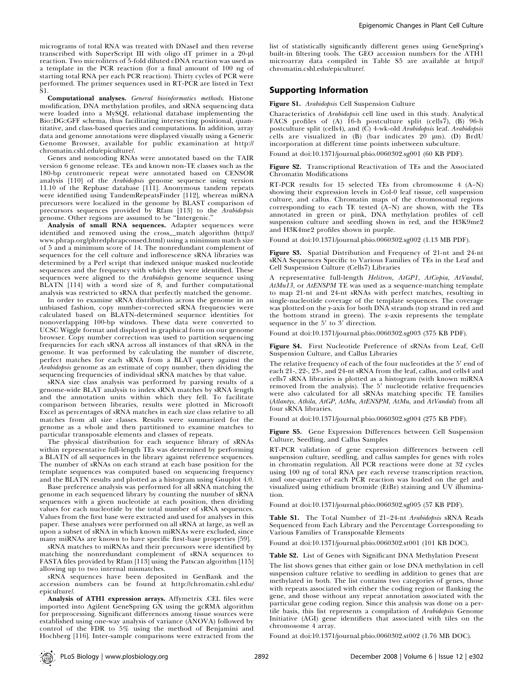micrograms of total RNA was treated with DNaseI and then reverse transcribed with SuperScript III with oligo dT primer in a 20-µl reaction. Two microliters of 5-fold diluted cDNA reaction was used as a template in the PCR reaction (for a final amount of 100 ng of starting total RNA per each PCR reaction). Thirty cycles of PCR were performed. The primer sequences used in RT-PCR are listed in Text S1.

Computational analyses. General bioinformatics methods. Histone modification, DNA methylation profiles, and sRNA sequencing data were loaded into a MySQL relational database implementing the Bio::DG::GFF schema, thus facilitating intersecting positional, quantitative, and class-based queries and computations. In addition, array data and genome annotations were displayed visually using a Generic Genome Browser, available for public examination at http:// chromatin.cshl.edu/epiculture/.

Genes and noncoding RNAs were annotated based on the TAIR version 6 genome release. TEs and known non-TE classes such as the 180-bp centromeric repeat were annotated based on CENSOR analysis [110] of the Arabidopsis genome sequence using version 11.10 of the Repbase database [111]. Anonymous tandem repeats were identified using TandemRepeatsFinder [112], whereas miRNA precursors were localized in the genome by BLAST comparison of precursors sequences provided by Rfam [113] to the Arabidopsis<br>genome. Other regions are assumed to be "Intergenic."

Analysis of small RNA sequences. Adapter sequences were identified and removed using the cross\_match algorithm (http:// www.phrap.org/phredphrapconsed.html) using a minimum match size of 5 and a minimum score of 14. The nonredundant complement of sequences for the cell culture and inflorescence sRNA libraries was determined by a Perl script that indexed unique masked nucleotide sequences and the frequency with which they were identified. These sequences were aligned to the Arabidopsis genome sequence using BLATN [114] with a word size of 8, and further computational analysis was restricted to sRNA that perfectly matched the genome.

In order to examine sRNA distribution across the genome in an unbiased fashion, copy number-corrected sRNA frequencies were calculated based on BLATN-determined sequence identities for nonoverlapping 100-bp windows. These data were converted to UCSC Wiggle format and displayed in graphical form on our genome browser. Copy number correction was used to partition sequencing frequencies for each sRNA across all instances of that sRNA in the genome. It was performed by calculating the number of discrete, perfect matches for each sRNA from a BLAT query against the Arabidopsis genome as an estimate of copy number, then dividing the sequencing frequencies of individual sRNA matches by that value.

sRNA size class analysis was performed by parsing results of a genome-wide BLAT analysis to index sRNA matches by sRNA length and the annotation units within which they fell. To facilitate comparison between libraries, results were plotted in Microsoft Excel as percentages of sRNA matches in each size class relative to all matches from all size classes. Results were summarized for the genome as a whole and then partitioned to examine matches to particular transposable elements and classes of repeats.

The physical distribution for each sequence library of sRNAs within representative full-length TEs was determined by performing a BLATN of all sequences in the library against reference sequences. The number of sRNAs on each strand at each base position for the template sequences was computed based on sequencing frequency and the BLATN results and plotted as a histogram using Gnuplot 4.0.

Base preference analysis was performed for all sRNA matching the genome in each sequenced library by counting the number of sRNA sequences with a given nucleotide at each position, then dividing values for each nucleotide by the total number of sRNA sequences. Values from the first base were extracted and used for analyses in this paper. These analyses were performed on all sRNA at large, as well as upon a subset of sRNA in which known miRNAs were excluded, since many miRNAs are known to have specific first-base properties [59].

sRNA matches to miRNAs and their precursors were identified by matching the nonredundant complement of sRNA sequences to FASTA files provided by Rfam [113] using the Patscan algorithm [115] allowing up to two internal mismatches.

sRNA sequences have been deposited in GenBank and the accession numbers can be found at http://chromatin.cshl.edu/ epiculture/.

Analysis of ATH1 expression arrays. Affymetrix .CEL files were imported into Agilent GeneSpring GX using the gcRMA algorithm for preprocessing. Significant differences among tissue sources were established using one-way analysis of variance (ANOVA) followed by control of the FDR to 5% using the method of Benjamini and Hochberg [116]. Inter-sample comparisons were extracted from the

list of statistically significantly different genes using GeneSpring's built-in filtering tools. The GEO accession numbers for the ATH1 microarray data compiled in Table S5 are available at http:// chromatin.cshl.edu/epiculture/.

#### Supporting Information

Figure S1. Arabidopsis Cell Suspension Culture

Characteristics of Arabidopsis cell line used in this study. Analytical FACS profiles of (A) 16-h postculture split (cells7), (B) 96-h postculture split (cells4), and  $(\dot{C})$  4-wk-old Arabidopsis leaf. Arabidopsis cells are visualized in  $(B)$  (bar indicates  $20 \mu m$ ). (D) BrdU incorporation at different time points inbetween subculture.

Found at doi:10.1371/journal.pbio.0060302.sg001 (60 KB PDF).

Figure S2. Transcriptional Reactivation of TEs and the Associated Chromatin Modifications

RT-PCR results for 15 selected TEs from chromosome 4 (A–N) showing their expression levels in Col-0 leaf tissue, cell suspension culture, and callus. Chromatin maps of the chromosomal regions corresponding to each TE tested (A–N) are shown, with the TEs annotated in green or pink, DNA methylation profiles of cell suspension culture and seedling shown in red, and the H3K9me2 and H3K4me2 profiles shown in purple.

Found at doi:10.1371/journal.pbio.0060302.sg002 (1.13 MB PDF).

Figure S3. Spatial Distribution and Frequency of 21-nt and 24-nt sRNA Sequences Specific to Various Families of TEs in the Leaf and Cell Suspension Culture (Cells7) Libraries

A representative full-length Helitron, AtGP1, AtCopia, AtVandal,  $AtMul3$ , or  $AtENSPM$  TE was used as a sequence-matching template to map 21-nt and 24-nt sRNAs with perfect matches, resulting in single-nucleotide coverage of the template sequences. The coverage was plotted on the y-axis for both DNA strands (top strand in red and the bottom strand in green). The x-axis represents the template sequence in the  $5'$  to  $3'$  direction.

Found at doi:10.1371/journal.pbio.0060302.sg003 (375 KB PDF).

Figure S4. First Nucleotide Preference of sRNAs from Leaf, Cell Suspension Culture, and Callus Libraries

The relative frequency of each of the four nucleotides at the  $5^{\prime}$  end of each 21-, 22-, 23-, and 24-nt sRNA from the leaf, callus, and cells4 and cells7 sRNA libraries is plotted as a histogram (with known miRNA removed from the analysis). The 5' nucleotide relative frequencies were also calculated for all sRNAs matching specific TE families (Atlantys, Athila, AtGP, AtMu, AtENSPM, AtMu, and AtVandal) from all four sRNA libraries.

Found at doi:10.1371/journal.pbio.0060302.sg004 (275 KB PDF).

Figure S5. Gene Expression Differences between Cell Suspension Culture, Seedling, and Callus Samples

RT-PCR validation of gene expression differences between cell suspension culture, seedling, and callus samples for genes with roles in chromatin regulation. All PCR reactions were done at 32 cycles using 100 ng of total RNA per each reverse transcription reaction, and one-quarter of each PCR reaction was loaded on the gel and visualized using ethidium bromide (EtBr) staining and UV illumination.

Found at doi:10.1371/journal.pbio.0060302.sg005 (57 KB PDF).

Table S1. The Total Number of 21-24-nt Arabidopsis sRNA Reads Sequenced from Each Library and the Percentage Corresponding to Various Families of Transposable Elements

Found at doi:10.1371/journal.pbio.0060302.st001 (101 KB DOC).

Table S2. List of Genes with Significant DNA Methylation Present

The list shows genes that either gain or lose DNA methylation in cell suspension culture relative to seedling in addition to genes that are methylated in both. The list contains two categories of genes, those with repeats associated with either the coding region or flanking the gene, and those without any repeat annotation associated with the particular gene coding region. Since this analysis was done on a pertile basis, this list represents a compilation of Arabidopsis Genome Initiative (AGI) gene identifiers that associated with tiles on the chromosome 4 array.

Found at doi:10.1371/journal.pbio.0060302.st002 (1.76 MB DOC).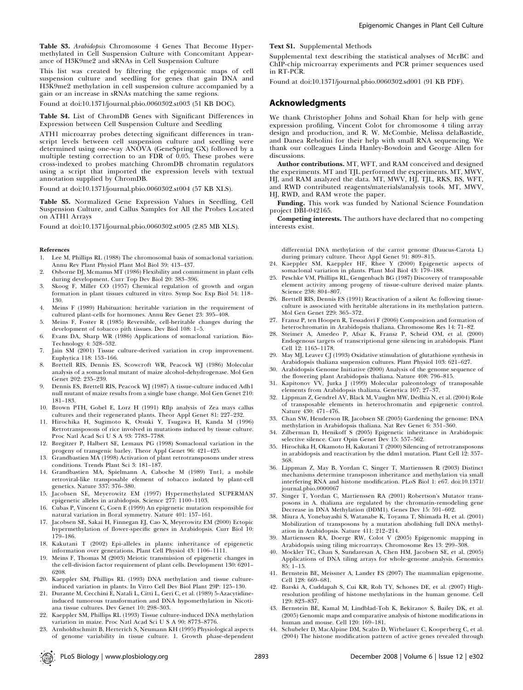Table S3. Arabidopsis Chromosome 4 Genes That Become Hypermethylated in Cell Suspension Culture with Concomitant Appearance of H3K9me2 and sRNAs in Cell Suspension Culture

This list was created by filtering the epigenomic maps of cell suspension culture and seedling for genes that gain DNA and H3K9me2 methylation in cell suspension culture accompanied by a gain or an increase in sRNAs matching the same regions.

Found at doi:10.1371/journal.pbio.0060302.st003 (51 KB DOC).

Table S4. List of ChromDB Genes with Significant Differences in Expression between Cell Suspension Culture and Seedling

ATH1 microarray probes detecting significant differences in transcript levels between cell suspension culture and seedling were determined using one-way ANOVA (GeneSpring GX) followed by a multiple testing correction to an FDR of 0.05. These probes were cross-indexed to probes matching ChromDB chromatin regulators using a script that imported the expression levels with textual annotation supplied by ChromDB.

Found at doi:10.1371/journal.pbio.0060302.st004 (57 KB XLS).

Table S5. Normalized Gene Expression Values in Seedling, Cell Suspension Culture, and Callus Samples for All the Probes Located on ATH1 Arrays

Found at doi:10.1371/journal.pbio.0060302.st005 (2.85 MB XLS).

#### References

- 1. Lee M, Phillips RL (1988) The chromosomal basis of somaclonal variation. Annu Rev Plant Physiol Plant Mol Biol 39: 413–437.
- 2. Osborne DJ, Mcmanus MT (1986) Flexibility and commitment in plant cells during development. Curr Top Dev Biol 20: 383–396.
- 3. Skoog F, Miller CO (1957) Chemical regulation of growth and organ formation in plant tissues cultured in vitro. Symp Soc Exp Biol 54: 118– 130.
- 4. Meins F (1989) Habituation: heritable variation in the requirement of cultured plant-cells for hormones. Annu Rev Genet 23: 395–408.
- 5. Meins F, Foster R (1985) Reversible, cell-heritable changes during the development of tobacco pith tissues. Dev Biol 108: 1–5.
- 6. Evans DA, Sharp WR (1986) Applications of somaclonal variation. Bio-Technology 4: 528–532.
- 7. Jain SM (2001) Tissue culture-derived variation in crop improvement. Euphytica 118: 153–166.
- 8. Brettell RIS, Dennis ES, Scowcroft WR, Peacock WJ (1986) Molecular analysis of a somaclonal mutant of maize alcohol-dehydrogenase. Mol Gen Genet 202: 235–239.
- 9. Dennis ES, Brettell RIS, Peacock WJ (1987) A tissue-culture induced Adh1 null mutant of maize results from a single base change. Mol Gen Genet 210: 181–183.
- 10. Brown PTH, Gobel E, Lorz H (1991) Rflp analysis of Zea mays callus cultures and their regenerated plants. Theor Appl Genet 81: 227–232.
- 11. Hirochika H, Sugimoto K, Otsuki Y, Tsugawa H, Kanda M (1996) Retrotransposons of rice involved in mutations induced by tissue culture. Proc Natl Acad Sci U S A 93: 7783–7788.
- 12. Bregitzer P, Halbert SE, Lemaux PG (1998) Somaclonal variation in the progeny of transgenic barley. Theor Appl Genet 96: 421–425.
- Grandbastien MA (1998) Activation of plant retrotransposons under stress conditions. Trends Plant Sci 3: 181–187.
- 14. Grandbastien MA, Spielmann A, Caboche M (1989) Tnt1, a mobile retroviral-like transposable element of tobacco isolated by plant-cell genetics. Nature 337: 376–380.
- 15. Jacobsen SE, Meyerowitz EM (1997) Hypermethylated SUPERMAN epigenetic alleles in arabidopsis. Science 277: 1100–1103.
- 16. Cubas P, Vincent C, Coen E (1999) An epigenetic mutation responsible for natural variation in floral symmetry. Nature 401: 157–161.
- 17. Jacobsen SE, Sakai H, Finnegan EJ, Cao X, Meyerowitz EM (2000) Ectopic hypermethylation of flower-specific genes in Arabidopsis. Curr Biol 10: 179–186.
- 18. Kakutani T (2002) Epi-alleles in plants: inheritance of epigenetic information over generations. Plant Cell Physiol 43: 1106–1111.
- 19. Meins F, Thomas M (2003) Meiotic transmission of epigenetic changes in the cell-division factor requirement of plant cells. Development 130: 6201– 6208.
- 20. Kaeppler SM, Phillips RL (1993) DNA methylation and tissue cultureinduced variation in plants. In Vitro Cell Dev Biol Plant 29P: 125–130.
- 21. Durante M, Cecchini E, Natali L, Citti L, Geri C, et al. (1989) 5-Azacytidineinduced tumorous transformation and DNA hypomethylation in Nicotiana tissue cultures. Dev Genet 10: 298–303.
- 22. Kaeppler SM, Phillips RL (1993) Tissue culture-induced DNA methylation variation in maize. Proc Natl Acad Sci U S A 90: 8773–8776.
- 23. Arnholdtschmitt B, Herterich S, Neumann KH (1995) Physiological aspects of genome variability in tissue culture. 1. Growth phase-dependent

#### Text S1. Supplemental Methods

Supplemental text describing the statistical analyses of McrBC and ChIP-chip microarray experiments and PCR primer sequences used in RT-PCR.

Found at doi:10.1371/journal.pbio.0060302.sd001 (91 KB PDF).

#### Acknowledgments

We thank Christopher Johns and Sohail Khan for help with gene expression profiling, Vincent Colot for chromosome 4 tiling array design and production, and R. W. McCombie, Melissa delaBastide, and Danea Rebolini for their help with small RNA sequencing. We thank our colleagues Linda Hanley-Bowdoin and George Allen for discussions.

Author contributions. MT, WFT, and RAM conceived and designed the experiments. MT and TJL performed the experiments. MT, MWV, HJ, and RAM analyzed the data. MT, MWV, HJ, TJL, RKS, BS, WFT, and RWD contributed reagents/materials/analysis tools. MT, MWV, HJ, RWD, and RAM wrote the paper.

Funding. This work was funded by National Science Foundation project DBI-042165.

Competing interests. The authors have declared that no competing interests exist.

differential DNA methylation of the carrot genome (Daucus-Carota L) during primary culture. Theor Appl Genet 91: 809–815.

- 24. Kaeppler SM, Kaeppler HF, Rhee Y (2000) Epigenetic aspects of somaclonal variation in plants. Plant Mol Biol 43: 179–188.
- 25. Peschke VM, Phillips RL, Gengenbach BG (1987) Discovery of transposable element activity among progeny of tissue-culture derived maize plants. Science 238: 804–807.
- 26. Brettell RIS, Dennis ES (1991) Reactivation of a silent Ac following tissueculture is associated with heritable alterations in its methylation pattern. Mol Gen Genet 229: 365–372.
- 27. Fransz P, ten Hoopen R, Tessadori F (2006) Composition and formation of heterochromatin in Arabidopsis thaliana. Chromosome Res 14: 71–82.
- 28. Steimer A, Amedeo P, Afsar K, Fransz P, Scheid OM, et al. (2000) Endogenous targets of transcriptional gene silencing in arabidopsis. Plant Cell 12: 1165–1178.
- 29. May MJ, Leaver CJ (1993) Oxidative stimulation of glutathione synthesis in Arabidopsis thaliana suspension cultures. Plant Physiol 103: 621–627.
- 30. Arabidopsis Genome Initiative (2000) Analysis of the genome sequence of the flowering plant Arabidopsis thaliana. Nature 408: 796–815.
- 31. Kapitonov VV, Jurka J (1999) Molecular paleontology of transposable elements from Arabidopsis thaliana. Genetica 107: 27–37.
- 32. Lippman Z, Gendrel AV, Black M, Vaughn MW, Dedhia N, et al. (2004) Role of transposable elements in heterochromatin and epigenetic control. Nature 430: 471–476.
- 33. Chan SW, Henderson IR, Jacobsen SE (2005) Gardening the genome: DNA methylation in Arabidopsis thaliana. Nat Rev Genet 6: 351–360.
- 34. Zilberman D, Henikoff S (2005) Epigenetic inheritance in Arabidopsis: selective silence. Curr Opin Genet Dev 15: 557–562.
- 35. Hirochika H, Okamoto H, Kakutani T (2000) Silencing of retrotransposons in arabidopsis and reactivation by the ddm1 mutation. Plant Cell 12: 357– 368.
- 36. Lippman Z, May B, Yordan C, Singer T, Martienssen R (2003) Distinct mechanisms determine transposon inheritance and methylation via small interfering RNA and histone modification. PLoS Biol 1: e67. doi:10.1371/ journal.pbio.0000067
- 37. Singer T, Yordan C, Martienssen RA (2001) Robertson's Mutator transposons in A. thaliana are regulated by the chromatin-remodeling gene Decrease in DNA Methylation (DDM1). Genes Dev 15: 591–602.
- 38. Miura A, Yonebayashi S, Watanabe K, Toyama T, Shimada H, et al. (2001) Mobilization of transposons by a mutation abolishing full DNA methylation in Arabidopsis. Nature 411: 212–214.
- 39. Martienssen RA, Doerge RW, Colot V (2005) Epigenomic mapping in Arabidopsis using tiling microarrays. Chromosome Res 13: 299–308.
- 40. Mockler TC, Chan S, Sundaresan A, Chen HM, Jacobsen SE, et al. (2005) Applications of DNA tiling arrays for whole-genome analysis. Genomics 85: 1–15.
- 41. Bernstein BE, Meissner A, Lander ES (2007) The mammalian epigenome. Cell 128: 669–681.
- 42. Barski A, Cuddapah S, Cui KR, Roh TY, Schones DE, et al. (2007) Highresolution profiling of histone methylations in the human genome. Cell 129: 823–837.
- 43. Bernstein BE, Kamal M, Lindblad-Toh K, Bekiranov S, Bailey DK, et al. (2005) Genomic maps and comparative analysis of histone modifications in human and mouse. Cell 120: 169–181.
- 44. Schubeler D, MacAlpine DM, Scalzo D, Wirbelauer C, Kooperberg C, et al. (2004) The histone modification pattern of active genes revealed through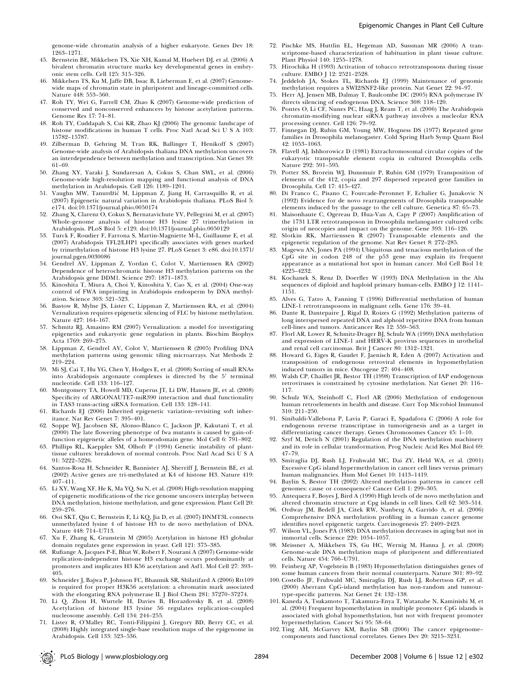genome-wide chromatin analysis of a higher eukaryote. Genes Dev 18: 1263–1271.

- 45. Bernstein BE, Mikkelsen TS, Xie XH, Kamal M, Huebert DJ, et al. (2006) A bivalent chromatin structure marks key developmental genes in embryonic stem cells. Cell 125: 315–326.
- 46. Mikkelsen TS, Ku M, Jaffe DB, Issac B, Lieberman E, et al. (2007) Genomewide maps of chromatin state in pluripotent and lineage-committed cells. Nature 448: 553–560.
- 47. Roh TY, Wei G, Farrell CM, Zhao K (2007) Genome-wide prediction of conserved and nonconserved enhancers by histone acetylation patterns. Genome Res 17: 74–81.
- 48. Roh TY, Cuddapah S, Cui KR, Zhao KJ (2006) The genomic landscape of histone modifications in human T cells. Proc Natl Acad Sci U S A 103: 15782–15787.
- 49. Zilberman D, Gehring M, Tran RK, Ballinger T, Henikoff S (2007) Genome-wide analysis of Arabidopsis thaliana DNA methylation uncovers an interdependence between methylation and transcription. Nat Genet 39: 61–69.
- 50. Zhang XY, Yazaki J, Sundaresan A, Cokus S, Chan SWL, et al. (2006) Genome-wide high-resolution mapping and functional analysis of DNA methylation in Arabidopsis. Cell 126: 1189–1201.
- 51. Vaughn MW, Tanurdžić M, Lippman Z, Jiang H, Carrasquillo R, et al. (2007) Epigenetic natural variation in Arabidopsis thaliana. PLoS Biol 5: e174. doi:10.1371/journal.pbio.0050174
- 52. Zhang X, Clarenz O, Cokus S, Bernatavichute YV, Pellegrini M, et al. (2007) Whole-genome analysis of histone H3 lysine 27 trimethylation in Arabidopsis. PLoS Biol 5: e129. doi:10.1371/journal.pbio.0050129
- 53. Turck F, Roudier F, Farrona S, Martin-Magniette M-L, Guillaume E, et al. (2007) Arabidopsis TFL2/LHP1 specifically associates with genes marked by trimethylation of histone H3 lysine 27. PLoS Genet 3: e86. doi:10.1371/ journal.pgen.0030086
- 54. Gendrel AV, Lippman Z, Yordan C, Colot V, Martienssen RA (2002) Dependence of heterochromatic histone H3 methylation patterns on the Arabidopsis gene DDM1. Science 297: 1871–1873.
- 55. Kinoshita T, Miura A, Choi Y, Kinoshita Y, Cao X, et al. (2004) One-way control of FWA imprinting in Arabidopsis endosperm by DNA methylation. Science 303: 521–523.
- 56. Bastow R, Mylne JS, Lister C, Lippman Z, Martienssen RA, et al. (2004) Vernalization requires epigenetic silencing of FLC by histone methylation. Nature 427: 164–167.
- 57. Schmitz RJ, Amasino RM (2007) Vernalization: a model for investigating epigenetics and eukaryotic gene regulation in plants. Biochim Biophys Acta 1769: 269–275.
- 58. Lippman Z, Gendrel AV, Colot V, Martienssen R (2005) Profiling DNA methylation patterns using genomic tiling microarrays. Nat Methods 2: 219–224.
- 59. Mi SJ, Cai T, Hu YG, Chen Y, Hodges E, et al. (2008) Sorting of small RNAs into Arabidopsis argonaute complexes is directed by the 5' terminal nucleotide. Cell 133: 116–127.
- 60. Montgomery TA, Howell MD, Cuperus JT, Li DW, Hansen JE, et al. (2008) Specificity of ARGONAUTE7-miR390 interaction and dual functionality in TAS3 trans-acting siRNA formation. Cell 133: 128–141.
- 61. Richards EJ (2006) Inherited epigenetic variation–revisiting soft inheritance. Nat Rev Genet 7: 395–401.
- 62. Soppe WJ, Jacobsen SE, Alonso-Blanco C, Jackson JP, Kakutani T, et al. (2000) The late flowering phenotype of fwa mutants is caused by gain-offunction epigenetic alleles of a homeodomain gene. Mol Cell 6: 791–802.
- 63. Phillips RL, Kaeppler SM, Olhoft P (1994) Genetic instability of planttissue cultures: breakdown of normal controls. Proc Natl Acad Sci U S A 91: 5222–5226.
- 64. Santos-Rosa H, Schneider R, Bannister AJ, Sherriff J, Bernstein BE, et al. (2002) Active genes are tri-methylated at K4 of histone H3. Nature 419: 407–411.
- 65. Li XY, Wang XF, He K, Ma YQ, Su N, et al. (2008) High-resolution mapping of epigenetic modifications of the rice genome uncovers interplay between DNA methylation, histone methylation, and gene expression. Plant Cell 20: 259–276.
- 66. Ooi SKT, Qiu C, Bernstein E, Li KQ, Jia D, et al. (2007) DNMT3L connects unmethylated lysine 4 of histone H3 to de novo methylation of DNA. Nature 448: 714–U713.
- 67. Xu F, Zhang K, Grunstein M (2005) Acetylation in histone H3 globular domain regulates gene expression in yeast. Cell 121: 375–385.
- 68. Rufiange A, Jacques P-E, Bhat W, Robert F, Nourani A (2007) Genome-wide replication-independent histone H3 exchange occurs predominantly at promoters and implicates H3 K56 acetylation and Asf1. Mol Cell 27: 393– 405.
- 69. Schneider J, Bajwa P, Johnson FC, Bhaumik SR, Shilatifard A (2006) Rtt109 is required for proper H3K56 acetylation: a chromatin mark associated with the elongating RNA polymerase II. J Biol Chem 281: 37270–37274.
- 70. Li Q, Zhou H, Wurtele H, Davies B, Horazdovsky B, et al. (2008) Acetylation of histone H3 lysine 56 regulates replication-coupled nucleosome assembly. Cell 134: 244–255.
- 71. Lister R, O'Malley RC, Tonti-Filippini J, Gregory BD, Berry CC, et al. (2008) Highly integrated single-base resolution maps of the epigenome in Arabidopsis. Cell 133: 523–536.
- 72. Pischke MS, Huttlin EL, Hegeman AD, Sussman MR (2006) A transcriptome-based characterization of habituation in plant tissue culture. Plant Physiol 140: 1255–1278.
- 73. Hirochika H (1993) Activation of tobacco retrotransposons during tissue culture. EMBO J 12: 2521–2528.
- 74. Jeddeloh JA, Stokes TL, Richards EJ (1999) Maintenance of genomic methylation requires a SWI2/SNF2-like protein. Nat Genet 22: 94–97.
- 75. Herr AJ, Jensen MB, Dalmay T, Baulcombe DC (2005) RNA polymerase IV directs silencing of endogenous DNA. Science 308: 118–120.
- 76. Pontes O, Li CF, Nunes PC, Haag J, Ream T, et al. (2006) The Arabidopsis chromatin-modifying nuclear siRNA pathway involves a nucleolar RNA processing center. Cell 126: 79–92.
- 77. Finnegan DJ, Rubin GM, Young MW, Hogness DS (1977) Repeated gene families in Drosophila melanogaster. Cold Spring Harb Symp Quant Biol 42: 1053–1063.
- 78. Flavell AJ, Ishhorowicz D (1981) Extrachromosomal circular copies of the eukaryotic transposable element copia in cultured Drosophila cells. Nature 292: 591–595.
- 79. Potter SS, Brorein WJ, Dunsmuir P, Rubin GM (1979) Transposition of elements of the 412, copia and 297 dispersed repeated gene families in Drosophila. Cell 17: 415–427.
- 80. Di Franco C, Pisano C, Fourcade-Peronnet F, Echalier G, Junakovic N (1992) Evidence for de novo rearrangements of Drosophila transposable elements induced by the passage to the cell culture. Genetica 87: 65–73.
- 81. Maisonhaute C, Ogereau D, Hua-Van A, Capy P (2007) Amplification of the 1731 LTR retrotransposon in Drosophila melanogaster cultured cells: origin of neocopies and impact on the genome. Gene 393: 116–126.
- 82. Slotkin RK, Martienssen R (2007) Transposable elements and the epigenetic regulation of the genome. Nat Rev Genet 8: 272–285.
- 83. Magewu AN, Jones PA (1994) Ubiquitous and tenacious methylation of the CpG site in codon 248 of the p53 gene may explain its frequent appearance as a mutational hot spot in human cancer. Mol Cell Biol 14: 4225–4232.
- 84. Kochanek S, Renz D, Doerfler W (1993) DNA Methylation in the Alu sequences of diploid and haploid primary human-cells. EMBO J 12: 1141– 1151.
- 85. Alves G, Tatro A, Fanning T (1996) Differential methylation of human LINE-1 retrotransposons in malignant cells. Gene 176: 39–44.
- 86. Dante R, Dantepaire J, Rigal D, Roizes G (1992) Methylation patterns of long interspersed repeated DNA and alphoid repetitive DNA from human cell-lines and tumors. Anticancer Res 12: 559–563.
- 87. Florl AR, Lower R, Schmitz-Drager BJ, Schulz WA (1999) DNA methylation and expression of LINE-1 and HERV-K provirus sequences in urothelial and renal cell carcinomas. Brit J Cancer 80: 1312–1321.
- 88. Howard G, Eiges R, Gaudet F, Jaenisch R, Eden A (2007) Activation and transposition of endogenous retroviral elements in hypomethylation induced tumors in mice. Oncogene 27: 404–408.
- 89. Walsh CP, Chaillet JR, Bestor TH (1998) Transcription of IAP endogenous retroviruses is constrained by cytosine methylation. Nat Genet 20: 116– 117.
- 90. Schulz WA, Steinhoff C, Florl AR (2006) Methylation of endogenous human retroelements in health and disease. Curr Top Microbiol Immunol 310: 211–250.
- 91. Sinibaldi-Vallebona P, Lavia P, Garaci E, Spadafora C (2006) A role for endogenous reverse transcriptase in tumorigenesis and as a target in differentiating cancer therapy. Genes Chromosomes Cancer 45: 1–10.
- 92. Szyf M, Detich N (2001) Regulation of the DNA methylation machinery and its role in cellular transformation. Prog Nucleic Acid Res Mol Biol 69: 47–79.
- 93. Smiraglia DJ, Rush LJ, Fruhwald MC, Dai ZY, Held WA, et al. (2001) Excessive CpG island hypermethylation in cancer cell lines versus primary human malignancies. Hum Mol Genet 10: 1413–1419.
- 94. Baylin S, Bestor TH (2002) Altered methylation patterns in cancer cell genomes: cause or consequence? Cancer Cell 1: 299–305.
- 95. Antequera F, Boyes J, Bird A (1990) High levels of de novo methylation and altered chromatin structure at Cpg islands in cell lines. Cell 62: 503–514.
- 96. Ordway JM, Bedell JA, Citek RW, Nunberg A, Garrido A, et al. (2006) Comprehensive DNA methylation profiling in a human cancer genome
- identifies novel epigenetic targets. Carcinogenesis 27: 2409–2423.
- 97. Wilson VL, Jones PA (1983) DNA methylation decreases in aging but not in immortal cells. Science 220: 1054–1057.
- 98. Meissner A, Mikkelsen TS, Gu HC, Wernig M, Hanna J, et al. (2008) Genome-scale DNA methylation maps of pluripotent and differentiated cells. Nature 454: 766–U791.
- 99. Feinberg AP, Vogelstein B (1983) Hypomethylation distinguishes genes of some human cancers from their normal counterparts. Nature 301: 89–92.
- 100. Costello JF, Fruhwald MC, Smiraglia DJ, Rush LJ, Robertson GP, et al. (2000) Aberrant CpG-island methylation has non-random and tumourtype-specific patterns. Nat Genet 24: 132–138.
- 101. Kaneda A, Tsukamoto T, Takamura-Enya T, Watanabe N, Kaminishi M, et al. (2004) Frequent hypomethylation in multiple promoter CpG islands is associated with global hypomethylation, but not with frequent promoter hypermethylation. Cancer Sci 95: 58–64.
- 102. Ting AH, McGarvey KM, Baylin SB (2006) The cancer epigenome– components and functional correlates. Genes Dev 20: 3215–3231.